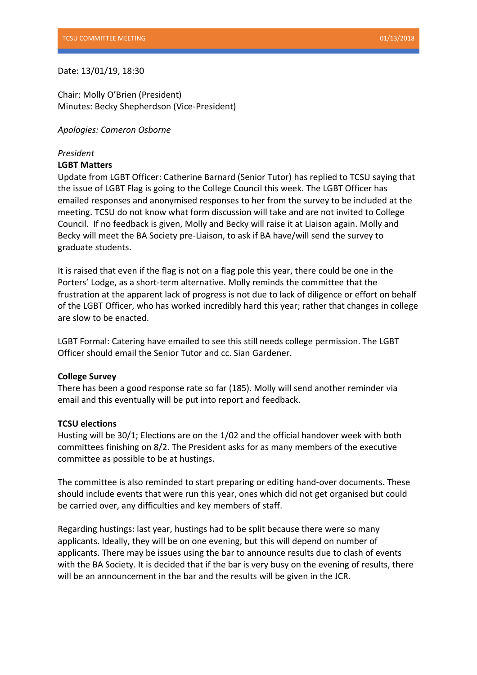# Date: 13/01/19, 18:30

Chair: Molly O'Brien (President) Minutes: Becky Shepherdson (Vice-President)

*Apologies: Cameron Osborne* 

### *President*

### **LGBT Matters**

Update from LGBT Officer: Catherine Barnard (Senior Tutor) has replied to TCSU saying that the issue of LGBT Flag is going to the College Council this week. The LGBT Officer has emailed responses and anonymised responses to her from the survey to be included at the meeting. TCSU do not know what form discussion will take and are not invited to College Council. If no feedback is given, Molly and Becky will raise it at Liaison again. Molly and Becky will meet the BA Society pre-Liaison, to ask if BA have/will send the survey to graduate students.

It is raised that even if the flag is not on a flag pole this year, there could be one in the Porters' Lodge, as a short-term alternative. Molly reminds the committee that the frustration at the apparent lack of progress is not due to lack of diligence or effort on behalf of the LGBT Officer, who has worked incredibly hard this year; rather that changes in college are slow to be enacted.

LGBT Formal: Catering have emailed to see this still needs college permission. The LGBT Officer should email the Senior Tutor and cc. Sian Gardener.

#### **College Survey**

There has been a good response rate so far (185). Molly will send another reminder via email and this eventually will be put into report and feedback.

#### **TCSU elections**

Husting will be 30/1; Elections are on the 1/02 and the official handover week with both committees finishing on 8/2. The President asks for as many members of the executive committee as possible to be at hustings.

The committee is also reminded to start preparing or editing hand-over documents. These should include events that were run this year, ones which did not get organised but could be carried over, any difficulties and key members of staff.

Regarding hustings: last year, hustings had to be split because there were so many applicants. Ideally, they will be on one evening, but this will depend on number of applicants. There may be issues using the bar to announce results due to clash of events with the BA Society. It is decided that if the bar is very busy on the evening of results, there will be an announcement in the bar and the results will be given in the JCR.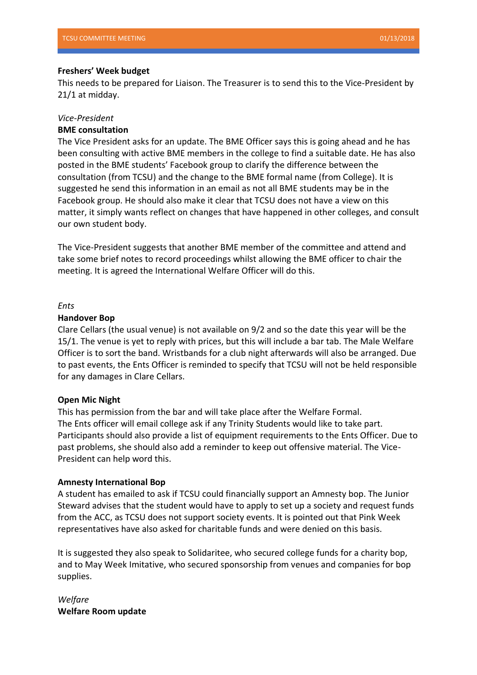### **Freshers' Week budget**

This needs to be prepared for Liaison. The Treasurer is to send this to the Vice-President by 21/1 at midday.

# *Vice-President*

# **BME consultation**

The Vice President asks for an update. The BME Officer says this is going ahead and he has been consulting with active BME members in the college to find a suitable date. He has also posted in the BME students' Facebook group to clarify the difference between the consultation (from TCSU) and the change to the BME formal name (from College). It is suggested he send this information in an email as not all BME students may be in the Facebook group. He should also make it clear that TCSU does not have a view on this matter, it simply wants reflect on changes that have happened in other colleges, and consult our own student body.

The Vice-President suggests that another BME member of the committee and attend and take some brief notes to record proceedings whilst allowing the BME officer to chair the meeting. It is agreed the International Welfare Officer will do this.

#### *Ents*

#### **Handover Bop**

Clare Cellars (the usual venue) is not available on 9/2 and so the date this year will be the 15/1. The venue is yet to reply with prices, but this will include a bar tab. The Male Welfare Officer is to sort the band. Wristbands for a club night afterwards will also be arranged. Due to past events, the Ents Officer is reminded to specify that TCSU will not be held responsible for any damages in Clare Cellars.

# **Open Mic Night**

This has permission from the bar and will take place after the Welfare Formal. The Ents officer will email college ask if any Trinity Students would like to take part. Participants should also provide a list of equipment requirements to the Ents Officer. Due to past problems, she should also add a reminder to keep out offensive material. The Vice-President can help word this.

# **Amnesty International Bop**

A student has emailed to ask if TCSU could financially support an Amnesty bop. The Junior Steward advises that the student would have to apply to set up a society and request funds from the ACC, as TCSU does not support society events. It is pointed out that Pink Week representatives have also asked for charitable funds and were denied on this basis.

It is suggested they also speak to Solidaritee, who secured college funds for a charity bop, and to May Week Imitative, who secured sponsorship from venues and companies for bop supplies.

*Welfare*  **Welfare Room update**